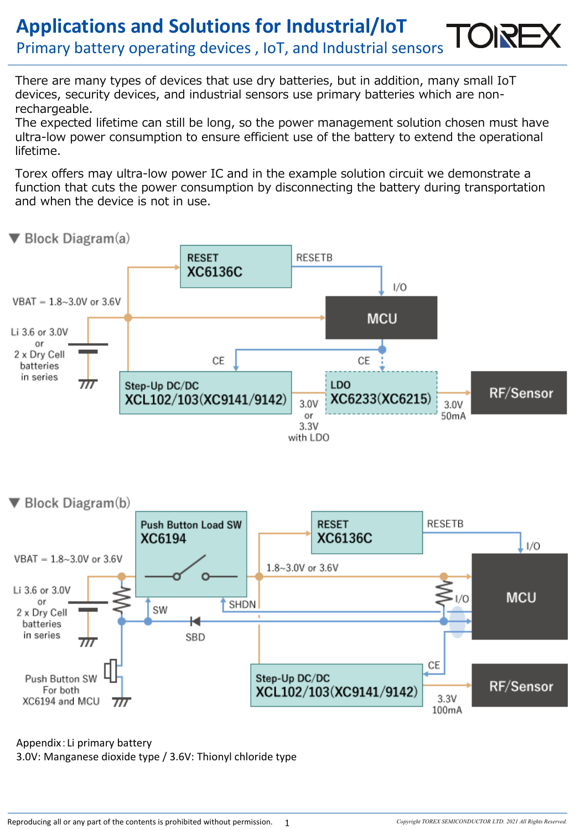## **Applications and Solutions for Industrial/IoT** Primary battery operating devices , IoT, and Industrial sensors

There are many types of devices that use dry batteries, but in addition, many small IoT devices, security devices, and industrial sensors use primary batteries which are nonrechargeable.

The expected lifetime can still be long, so the power management solution chosen must have ultra-low power consumption to ensure efficient use of the battery to extend the operational lifetime.

Torex offers may ultra-low power IC and in the example solution circuit we demonstrate a function that cuts the power consumption by disconnecting the battery during transportation and when the device is not in use.



#### Appendix:Li primary battery 3.0V: Manganese dioxide type / 3.6V: Thionyl chloride type

1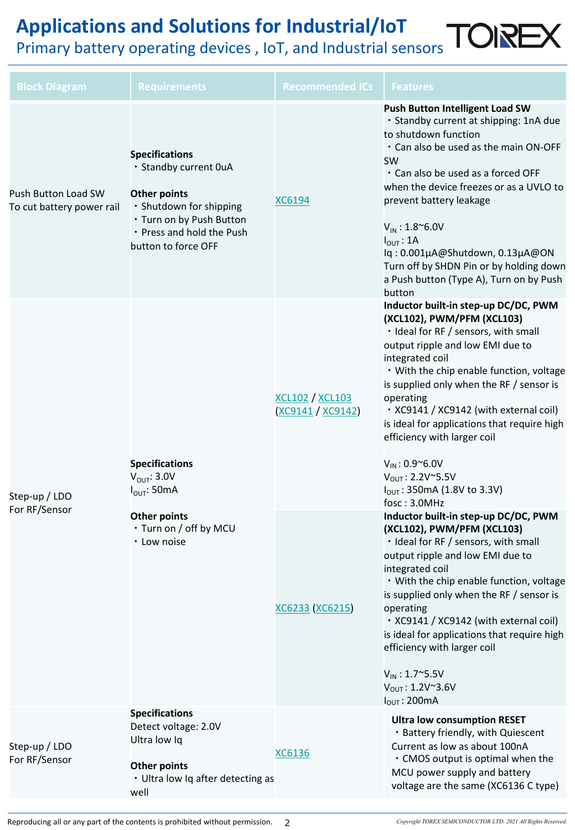# **Applications and Solutions for Industrial/IoT** Primary battery operating devices , IoT, and Industrial sensors TORE

| <b>Block Diagram</b>                             | <b>Requirements</b>                                                                                                                                                              | <b>Recommended ICs</b>                    | <b>Features</b>                                                                                                                                                                                                                                                                                                                                                                                                                                                                                           |
|--------------------------------------------------|----------------------------------------------------------------------------------------------------------------------------------------------------------------------------------|-------------------------------------------|-----------------------------------------------------------------------------------------------------------------------------------------------------------------------------------------------------------------------------------------------------------------------------------------------------------------------------------------------------------------------------------------------------------------------------------------------------------------------------------------------------------|
| Push Button Load SW<br>To cut battery power rail | <b>Specifications</b><br>· Standby current OuA<br><b>Other points</b><br>· Shutdown for shipping<br>· Turn on by Push Button<br>• Press and hold the Push<br>button to force OFF | <b>XC6194</b>                             | <b>Push Button Intelligent Load SW</b><br>· Standby current at shipping: 1nA due<br>to shutdown function<br>. Can also be used as the main ON-OFF<br><b>SW</b><br>. Can also be used as a forced OFF<br>when the device freezes or as a UVLO to<br>prevent battery leakage<br>$V_{IN}$ : 1.8~6.0V<br>$I_{\text{OUT}}$ : 1A<br>lq: 0.001µA@Shutdown, 0.13µA@ON<br>Turn off by SHDN Pin or by holding down<br>a Push button (Type A), Turn on by Push<br>button                                             |
| Step-up / LDO<br>For RF/Sensor                   | <b>Specifications</b><br>$V_{OUT}$ : 3.0V<br>$I_{\text{OUT}}$ : 50mA<br><b>Other points</b><br>• Turn on / off by MCU<br>• Low noise                                             | <u>XCL102 / XCL103</u><br>XC9141 / XC9142 | Inductor built-in step-up DC/DC, PWM<br>(XCL102), PWM/PFM (XCL103)<br>· Ideal for RF / sensors, with small<br>output ripple and low EMI due to<br>integrated coil<br>. With the chip enable function, voltage<br>is supplied only when the RF / sensor is<br>operating<br>· XC9141 / XC9142 (with external coil)<br>is ideal for applications that require high<br>efficiency with larger coil<br>$V_{IN}$ : 0.9~6.0V<br>$V_{OUT}$ : 2.2V~5.5V<br>I <sub>OUT</sub> : 350mA (1.8V to 3.3V)<br>fosc: 3.0MHz |
|                                                  |                                                                                                                                                                                  | XC6233 (XC6215)                           | Inductor built-in step-up DC/DC, PWM<br>(XCL102), PWM/PFM (XCL103)<br>· Ideal for RF / sensors, with small<br>output ripple and low EMI due to<br>integrated coil<br>. With the chip enable function, voltage<br>is supplied only when the RF / sensor is<br>operating<br>· XC9141 / XC9142 (with external coil)<br>is ideal for applications that require high<br>efficiency with larger coil<br>$V_{IN}$ : 1.7~5.5V<br>$V_{OUT}$ : 1.2V $\sim$ 3.6V<br>$I_{OUT}$ : 200mA                                |
| Step-up / LDO<br>For RF/Sensor                   | <b>Specifications</b><br>Detect voltage: 2.0V<br>Ultra low Iq<br><b>Other points</b><br>• Ultra low Iq after detecting as<br>well                                                | <b>XC6136</b>                             | <b>Ultra low consumption RESET</b><br>· Battery friendly, with Quiescent<br>Current as low as about 100nA<br>• CMOS output is optimal when the<br>MCU power supply and battery<br>voltage are the same (XC6136 C type)                                                                                                                                                                                                                                                                                    |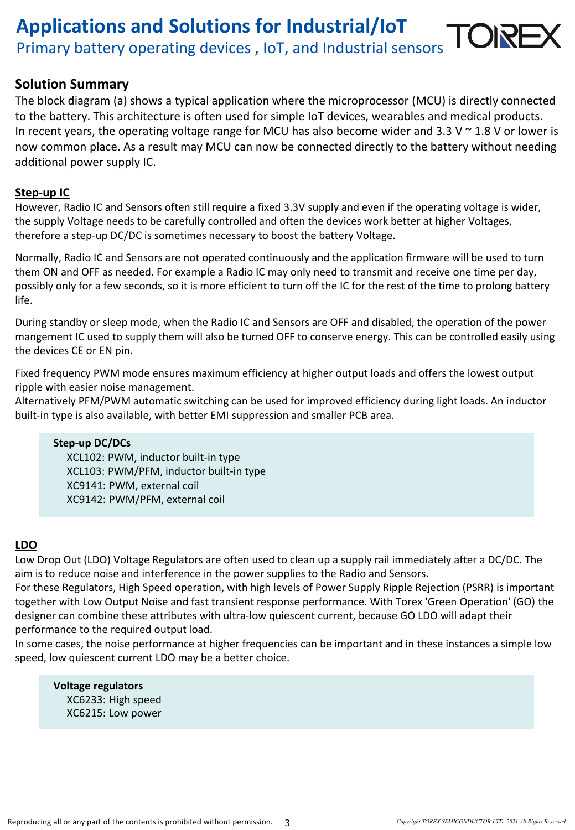## **Solution Summary**

The block diagram (a) shows a typical application where the microprocessor (MCU) is directly connected to the battery. This architecture is often used for simple IoT devices, wearables and medical products. In recent years, the operating voltage range for MCU has also become wider and 3.3 V  $\sim$  1.8 V or lower is now common place. As a result may MCU can now be connected directly to the battery without needing additional power supply IC.

#### **Step-up IC**

However, Radio IC and Sensors often still require a fixed 3.3V supply and even if the operating voltage is wider, the supply Voltage needs to be carefully controlled and often the devices work better at higher Voltages, therefore a step-up DC/DC is sometimes necessary to boost the battery Voltage.

Normally, Radio IC and Sensors are not operated continuously and the application firmware will be used to turn them ON and OFF as needed. For example a Radio IC may only need to transmit and receive one time per day, possibly only for a few seconds, so it is more efficient to turn off the IC for the rest of the time to prolong battery life.

During standby or sleep mode, when the Radio IC and Sensors are OFF and disabled, the operation of the power mangement IC used to supply them will also be turned OFF to conserve energy. This can be controlled easily using the devices CE or EN pin.

Fixed frequency PWM mode ensures maximum efficiency at higher output loads and offers the lowest output ripple with easier noise management.

Alternatively PFM/PWM automatic switching can be used for improved efficiency during light loads. An inductor built-in type is also available, with better EMI suppression and smaller PCB area.

#### **Step-up DC/DCs**

XCL102: PWM, inductor built-in type XCL103: PWM/PFM, inductor built-in type XC9141: PWM, external coil XC9142: PWM/PFM, external coil

## **LDO**

Low Drop Out (LDO) Voltage Regulators are often used to clean up a supply rail immediately after a DC/DC. The aim is to reduce noise and interference in the power supplies to the Radio and Sensors.

For these Regulators, High Speed operation, with high levels of Power Supply Ripple Rejection (PSRR) is important together with Low Output Noise and fast transient response performance. With Torex 'Green Operation' (GO) the designer can combine these attributes with ultra-low quiescent current, because GO LDO will adapt their performance to the required output load.

In some cases, the noise performance at higher frequencies can be important and in these instances a simple low speed, low quiescent current LDO may be a better choice.

**Voltage regulators** XC6233: High speed XC6215: Low power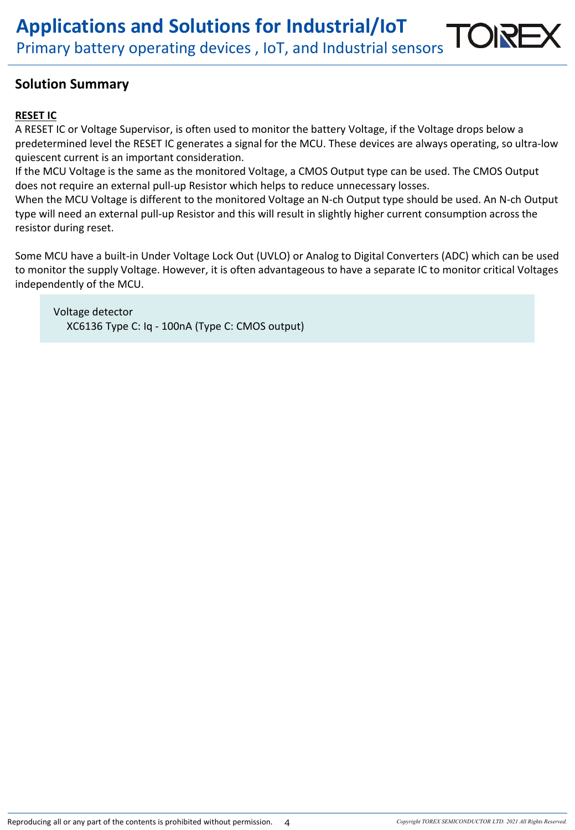## **Solution Summary**

## **RESET IC**

A RESET IC or Voltage Supervisor, is often used to monitor the battery Voltage, if the Voltage drops below a predetermined level the RESET IC generates a signal for the MCU. These devices are always operating, so ultra-low quiescent current is an important consideration.

If the MCU Voltage is the same as the monitored Voltage, a CMOS Output type can be used. The CMOS Output does not require an external pull-up Resistor which helps to reduce unnecessary losses.

When the MCU Voltage is different to the monitored Voltage an N-ch Output type should be used. An N-ch Output type will need an external pull-up Resistor and this will result in slightly higher current consumption across the resistor during reset.

Some MCU have a built-in Under Voltage Lock Out (UVLO) or Analog to Digital Converters (ADC) which can be used to monitor the supply Voltage. However, it is often advantageous to have a separate IC to monitor critical Voltages independently of the MCU.

Voltage detector XC6136 Type C: Iq - 100nA (Type C: CMOS output)